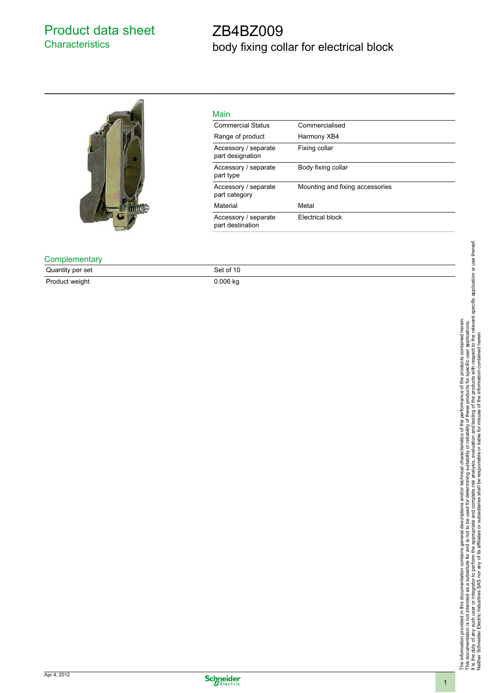### Product data sheet **Characteristics**

# ZB4BZ009 body fixing collar for electrical block



| Main                                     |                                 |
|------------------------------------------|---------------------------------|
| <b>Commercial Status</b>                 | Commercialised                  |
| Range of product                         | Harmony XB4                     |
| Accessory / separate<br>part designation | Fixing collar                   |
| Accessory / separate<br>part type        | Body fixing collar              |
| Accessory / separate<br>part category    | Mounting and fixing accessories |
| Material                                 | Metal                           |
| Accessory / separate<br>part destination | Electrical block                |

**Complementary** 

Quantity per set Set of 10 Product weight 0.006 kg

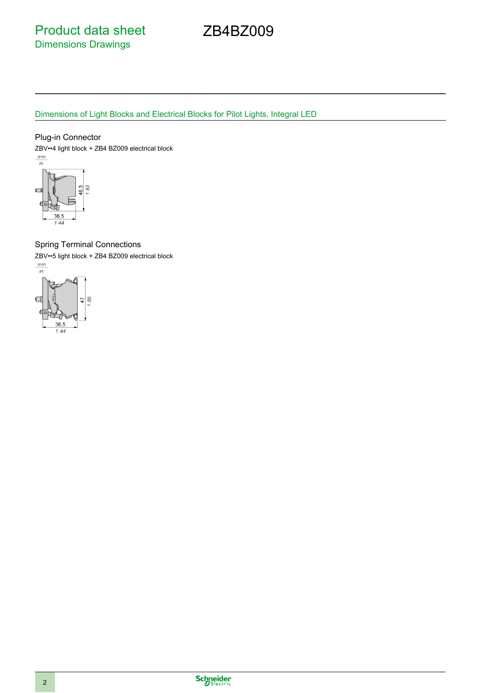Product data sheet Dimensions Drawings

ZB4BZ009

### Dimensions of Light Blocks and Electrical Blocks for Pilot Lights, Integral LED

### Plug-in Connector

ZBV••4 light block + ZB4 BZ009 electrical block<br> $\frac{mm}{in}$ 



### Spring Terminal Connections

ZBV••5 light block + ZB4 BZ009 electrical block<br> $\frac{mm}{m}$ 



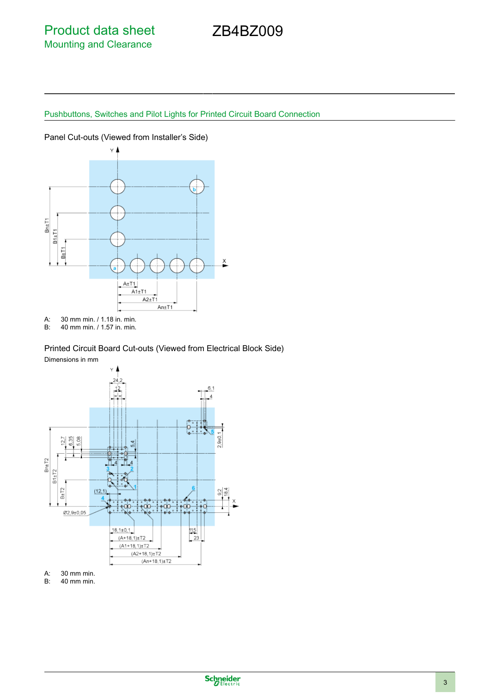# ZB4BZ009

## Pushbuttons, Switches and Pilot Lights for Printed Circuit Board Connection



A: 30 mm min. / 1.18 in. min.

B: 40 mm min. / 1.57 in. min.

### Printed Circuit Board Cut-outs (Viewed from Electrical Block Side)



A: 30 mm min.

B: 40 mm min.